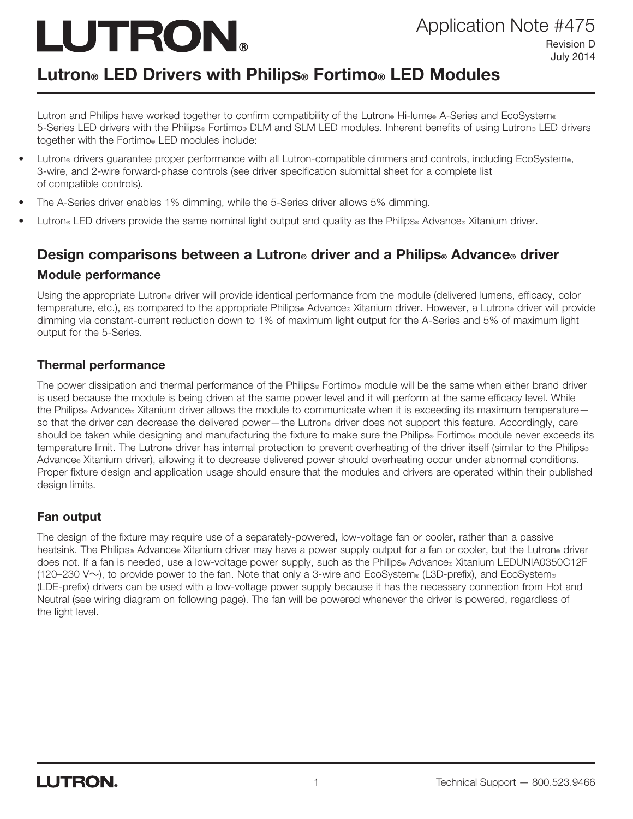# LUTRON.

# Lutron® LED Drivers with Philips® Fortimo® LED Modules

Lutron and Philips have worked together to confirm compatibility of the Lutron® Hi-lume® A-Series and EcoSystem® 5-Series LED drivers with the Philips® Fortimo® DLM and SLM LED modules. Inherent benefits of using Lutron® LED drivers together with the Fortimo® LED modules include:

- Lutron® drivers guarantee proper performance with all Lutron-compatible dimmers and controls, including EcoSystem®, 3-wire, and 2-wire forward-phase controls (see driver specification submittal sheet for a complete list of compatible controls).
- The A-Series driver enables 1% dimming, while the 5-Series driver allows 5% dimming.
- Lutron® LED drivers provide the same nominal light output and quality as the Philips® Advance® Xitanium driver.

# Design comparisons between a Lutron® driver and a Philips® Advance® driver Module performance

Using the appropriate Lutron® driver will provide identical performance from the module (delivered lumens, efficacy, color temperature, etc.), as compared to the appropriate Philips® Advance® Xitanium driver. However, a Lutron® driver will provide dimming via constant-current reduction down to 1% of maximum light output for the A-Series and 5% of maximum light output for the 5-Series.

#### Thermal performance

The power dissipation and thermal performance of the Philips® Fortimo® module will be the same when either brand driver is used because the module is being driven at the same power level and it will perform at the same efficacy level. While the Philips® Advance® Xitanium driver allows the module to communicate when it is exceeding its maximum temperature so that the driver can decrease the delivered power—the Lutron® driver does not support this feature. Accordingly, care should be taken while designing and manufacturing the fixture to make sure the Philips® Fortimo® module never exceeds its temperature limit. The Lutron® driver has internal protection to prevent overheating of the driver itself (similar to the Philips® Advance® Xitanium driver), allowing it to decrease delivered power should overheating occur under abnormal conditions. Proper fixture design and application usage should ensure that the modules and drivers are operated within their published design limits.

#### Fan output

The design of the fixture may require use of a separately-powered, low-voltage fan or cooler, rather than a passive heatsink. The Philips® Advance® Xitanium driver may have a power supply output for a fan or cooler, but the Lutron® driver does not. If a fan is needed, use a low-voltage power supply, such as the Philips® Advance® Xitanium LEDUNIA0350C12F (120–230 V $\sim$ ), to provide power to the fan. Note that only a 3-wire and EcoSystem® (L3D-prefix), and EcoSystem® (LDE-prefix) drivers can be used with a low-voltage power supply because it has the necessary connection from Hot and Neutral (see wiring diagram on following page). The fan will be powered whenever the driver is powered, regardless of the light level.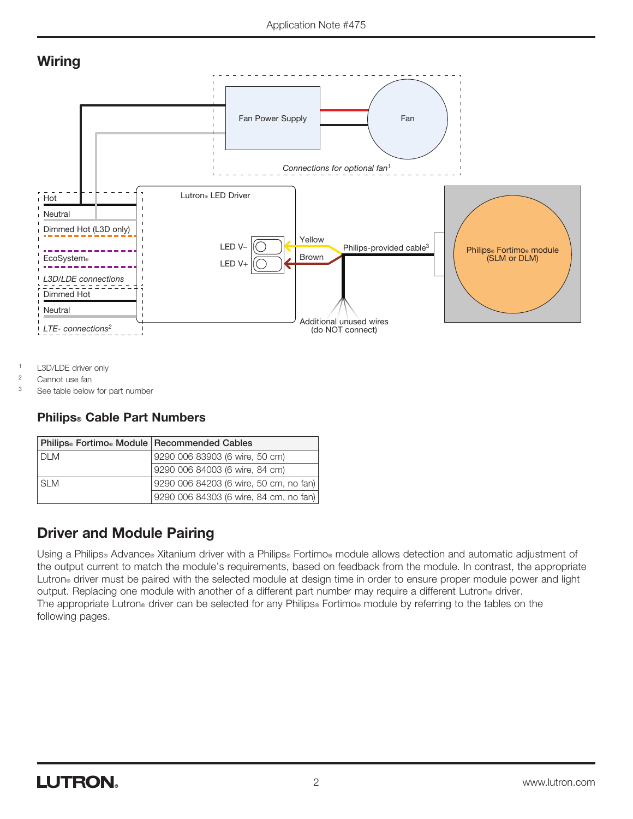## **Wiring**



- <sup>1</sup> L3D/LDE driver only
- <sup>2</sup> Cannot use fan

<sup>3</sup> See table below for part number

#### Philips® Cable Part Numbers

| Philips® Fortimo® Module Recommended Cables |                                        |
|---------------------------------------------|----------------------------------------|
| $DI$ M                                      | 9290 006 83903 (6 wire, 50 cm)         |
|                                             | 9290 006 84003 (6 wire, 84 cm)         |
| SI M                                        | 9290 006 84203 (6 wire, 50 cm, no fan) |
|                                             | 9290 006 84303 (6 wire, 84 cm, no fan) |

### Driver and Module Pairing

Using a Philips® Advance® Xitanium driver with a Philips® Fortimo® module allows detection and automatic adjustment of the output current to match the module's requirements, based on feedback from the module. In contrast, the appropriate Lutron<sup>®</sup> driver must be paired with the selected module at design time in order to ensure proper module power and light output. Replacing one module with another of a different part number may require a different Lutron® driver. The appropriate Lutron® driver can be selected for any Philips® Fortimo® module by referring to the tables on the following pages.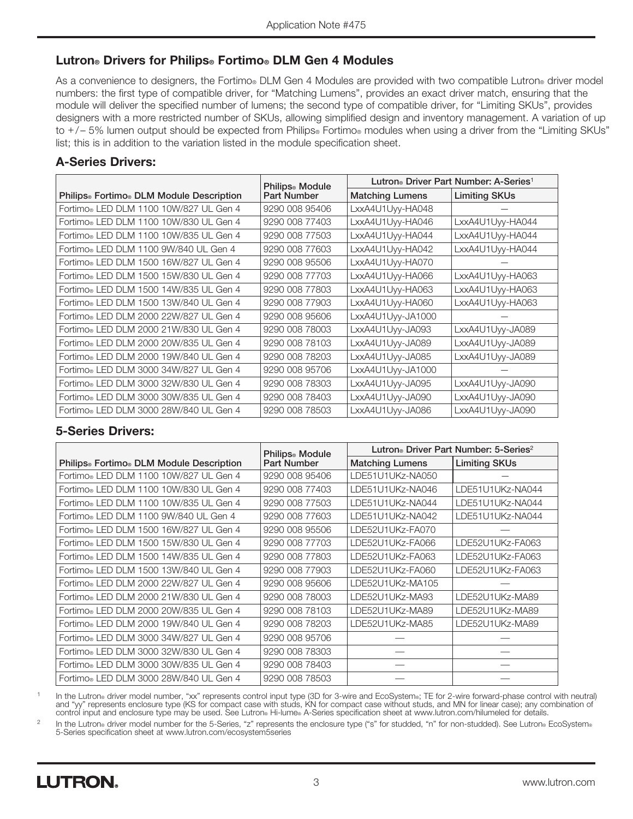#### Lutron® Drivers for Philips® Fortimo® DLM Gen 4 Modules

As a convenience to designers, the Fortimo® DLM Gen 4 Modules are provided with two compatible Lutron® driver model numbers: the first type of compatible driver, for "Matching Lumens", provides an exact driver match, ensuring that the module will deliver the specified number of lumens; the second type of compatible driver, for "Limiting SKUs", provides designers with a more restricted number of SKUs, allowing simplified design and inventory management. A variation of up to  $+/-$  5% lumen output should be expected from Philips® Fortimo® modules when using a driver from the "Limiting SKUs" list; this is in addition to the variation listed in the module specification sheet.

#### A-Series Drivers:

|                                                                  | Philips <sup>®</sup> Module | Lutron <sup>®</sup> Driver Part Number: A-Series <sup>1</sup> |                      |  |  |
|------------------------------------------------------------------|-----------------------------|---------------------------------------------------------------|----------------------|--|--|
| Philips <sup>®</sup> Fortimo <sup>®</sup> DLM Module Description | <b>Part Number</b>          | <b>Matching Lumens</b>                                        | <b>Limiting SKUs</b> |  |  |
| Fortimo® LED DLM 1100 10W/827 UL Gen 4                           | 9290 008 95406              | LxxA4U1Uvv-HA048                                              |                      |  |  |
| Fortimo® LED DLM 1100 10W/830 UL Gen 4                           | 9290 008 77403              | LxxA4U1Uvv-HA046                                              | LxxA4U1Uyy-HA044     |  |  |
| Fortimo® LED DLM 1100 10W/835 UL Gen 4                           | 9290 008 77503              | LxxA4U1Uyy-HA044                                              | LxxA4U1Uyy-HA044     |  |  |
| Fortimo® LED DLM 1100 9W/840 UL Gen 4                            | 9290 008 77603              | LxxA4U1Uyy-HA042                                              | LxxA4U1Uyy-HA044     |  |  |
| Fortimo® LED DLM 1500 16W/827 UL Gen 4                           | 9290 008 95506              | LxxA4U1Uyy-HA070                                              |                      |  |  |
| Fortimo® LED DLM 1500 15W/830 UL Gen 4                           | 9290 008 77703              | LxxA4U1Uyy-HA066                                              | LxxA4U1Uyy-HA063     |  |  |
| Fortimo® LED DLM 1500 14W/835 UL Gen 4                           | 9290 008 77803              | LxxA4U1Uyy-HA063                                              | LxxA4U1Uyy-HA063     |  |  |
| Fortimo® LED DLM 1500 13W/840 UL Gen 4                           | 9290 008 77903              | LxxA4U1Uyy-HA060                                              | LxxA4U1Uyy-HA063     |  |  |
| Fortimo® LED DLM 2000 22W/827 UL Gen 4                           | 9290 008 95606              | LxxA4U1Uyy-JA1000                                             |                      |  |  |
| Fortimo® LED DLM 2000 21W/830 UL Gen 4                           | 9290 008 78003              | LxxA4U1Uyy-JA093                                              | LxxA4U1Uyy-JA089     |  |  |
| Fortimo® LED DLM 2000 20W/835 UL Gen 4                           | 9290 008 78103              | LxxA4U1Uyy-JA089                                              | LxxA4U1Uyy-JA089     |  |  |
| Fortimo® LED DLM 2000 19W/840 UL Gen 4                           | 9290 008 78203              | LxxA4U1Uyy-JA085                                              | LxxA4U1Uyy-JA089     |  |  |
| Fortimo® LED DLM 3000 34W/827 UL Gen 4                           | 9290 008 95706              | LxxA4U1Uyy-JA1000                                             |                      |  |  |
| Fortimo® LED DLM 3000 32W/830 UL Gen 4                           | 9290 008 78303              | LxxA4U1Uyy-JA095                                              | LxxA4U1Uyy-JA090     |  |  |
| Fortimo® LED DLM 3000 30W/835 UL Gen 4                           | 9290 008 78403              | LxxA4U1Uyy-JA090                                              | LxxA4U1Uyy-JA090     |  |  |
| Fortimo® LED DLM 3000 28W/840 UL Gen 4                           | 9290 008 78503              | LxxA4U1Uyy-JA086                                              | LxxA4U1Uyy-JA090     |  |  |

#### 5-Series Drivers:

|                                          | Philips <sup>®</sup> Module | Lutron <sup>®</sup> Driver Part Number: 5-Series <sup>2</sup> |                      |  |
|------------------------------------------|-----------------------------|---------------------------------------------------------------|----------------------|--|
| Philips® Fortimo® DLM Module Description | Part Number                 | <b>Matching Lumens</b>                                        | <b>Limiting SKUs</b> |  |
| Fortimo® LED DLM 1100 10W/827 UL Gen 4   | 9290 008 95406              | LDE51U1UKz-NA050                                              |                      |  |
| Fortimo® LED DLM 1100 10W/830 UL Gen 4   | 9290 008 77403              | LDE51U1UKz-NA046                                              | LDE51U1UKz-NA044     |  |
| Fortimo® LED DLM 1100 10W/835 UL Gen 4   | 9290 008 77503              | LDE51U1UKz-NA044                                              | LDE51U1UKz-NA044     |  |
| Fortimo® LED DLM 1100 9W/840 UL Gen 4    | 9290 008 77603              | LDE51U1UKz-NA042                                              | LDE51U1UKz-NA044     |  |
| Fortimo® LED DLM 1500 16W/827 UL Gen 4   | 9290 008 95506              | LDE52U1UKz-FA070                                              |                      |  |
| Fortimo® LED DLM 1500 15W/830 UL Gen 4   | 9290 008 77703              | LDE52U1UKz-FA066                                              | LDE52U1UKz-FA063     |  |
| Fortimo® LED DLM 1500 14W/835 UL Gen 4   | 9290 008 77803              | LDE52U1UKz-FA063                                              | LDE52U1UKz-FA063     |  |
| Fortimo® LED DLM 1500 13W/840 UL Gen 4   | 9290 008 77903              | LDE52U1UKz-FA060                                              | LDE52U1UKz-FA063     |  |
| Fortimo® LED DLM 2000 22W/827 UL Gen 4   | 9290 008 95606              | LDE52U1UKz-MA105                                              |                      |  |
| Fortimo® LED DLM 2000 21W/830 UL Gen 4   | 9290 008 78003              | LDE52U1UKz-MA93                                               | LDE52U1UKz-MA89      |  |
| Fortimo® LED DLM 2000 20W/835 UL Gen 4   | 9290 008 78103              | LDE52U1UKz-MA89                                               | LDE52U1UKz-MA89      |  |
| Fortimo® LED DLM 2000 19W/840 UL Gen 4   | 9290 008 78203              | LDE52U1UKz-MA85                                               | LDE52U1UKz-MA89      |  |
| Fortimo® LED DLM 3000 34W/827 UL Gen 4   | 9290 008 95706              |                                                               |                      |  |
| Fortimo® LED DLM 3000 32W/830 UL Gen 4   | 9290 008 78303              |                                                               |                      |  |
| Fortimo® LED DLM 3000 30W/835 UL Gen 4   | 9290 008 78403              |                                                               |                      |  |
| Fortimo® LED DLM 3000 28W/840 UL Gen 4   | 9290 008 78503              |                                                               |                      |  |

In the Lutron® driver model number, "xx" represents control input type (3D for 3-wire and EcoSystem®; TE for 2-wire forward-phase control with neutral) and "yy" represents enclosure type (KS for compact case with studs, KN for compact case without studs, and MN for linear case); any combination of control input and enclosure type may be used. See Lutron® Hi-lume® A-Series specification sheet at www.lutron.com/hilumeled for details.

2 In the Lutron® driver model number for the 5-Series, "z" represents the enclosure type ("s" for studded, "n" for non-studded). See Lutron® EcoSystem® 5-Series specification sheet at www.lutron.com/ecosystem5series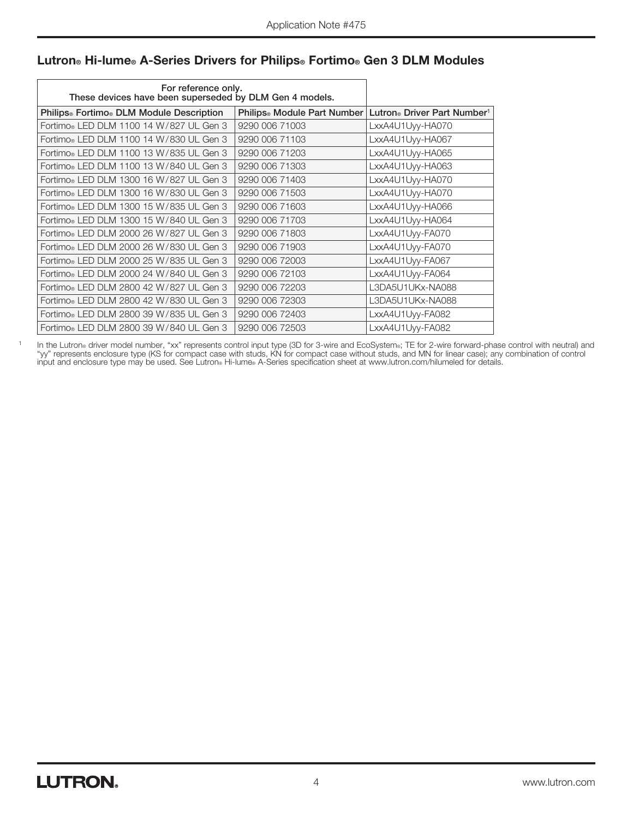| For reference only.<br>These devices have been superseded by DLM Gen 4 models. |                                         |                                                     |
|--------------------------------------------------------------------------------|-----------------------------------------|-----------------------------------------------------|
| Philips® Fortimo® DLM Module Description                                       | Philips <sup>®</sup> Module Part Number | Lutron <sup>®</sup> Driver Part Number <sup>1</sup> |
| Fortimo® LED DLM 1100 14 W/827 UL Gen 3                                        | 9290 006 71003                          | LxxA4U1Uyy-HA070                                    |
| Fortimo® LED DLM 1100 14 W/830 UL Gen 3                                        | 9290 006 71103                          | LxxA4U1Uyy-HA067                                    |
| Fortimo® LED DLM 1100 13 W/835 UL Gen 3                                        | 9290 006 71203                          | LxxA4U1Uyy-HA065                                    |
| Fortimo® LED DLM 1100 13 W/840 UL Gen 3                                        | 9290 006 71303                          | LxxA4U1Uyy-HA063                                    |
| Fortimo® LED DLM 1300 16 W/827 UL Gen 3                                        | 9290 006 71403                          | LxxA4U1Uyy-HA070                                    |
| Fortimo® LED DLM 1300 16 W/830 UL Gen 3                                        | 9290 006 71503                          | LxxA4U1Uyy-HA070                                    |
| Fortimo® LED DLM 1300 15 W/835 UL Gen 3                                        | 9290 006 71603                          | LxxA4U1Uyy-HA066                                    |
| Fortimo® LED DLM 1300 15 W/840 UL Gen 3                                        | 9290 006 71703                          | LxxA4U1Uyy-HA064                                    |
| Fortimo® LED DLM 2000 26 W/827 UL Gen 3                                        | 9290 006 71803                          | LxxA4U1Uyy-FA070                                    |
| Fortimo® LED DLM 2000 26 W/830 UL Gen 3                                        | 9290 006 71903                          | LxxA4U1Uyy-FA070                                    |
| Fortimo® LED DLM 2000 25 W/835 UL Gen 3                                        | 9290 006 72003                          | LxxA4U1Uyy-FA067                                    |
| Fortimo® LED DLM 2000 24 W/840 UL Gen 3                                        | 9290 006 72103                          | LxxA4U1Uyy-FA064                                    |
| Fortimo® LED DLM 2800 42 W/827 UL Gen 3                                        | 9290 006 72203                          | L3DA5U1UKx-NA088                                    |
| Fortimo® LED DLM 2800 42 W/830 UL Gen 3                                        | 9290 006 72303                          | L3DA5U1UKx-NA088                                    |
| Fortimo® LED DLM 2800 39 W/835 UL Gen 3                                        | 9290 006 72403                          | LxxA4U1Uyy-FA082                                    |
| Fortimo® LED DLM 2800 39 W/840 UL Gen 3                                        | 9290 006 72503                          | LxxA4U1Uyy-FA082                                    |

#### Lutron® Hi-lume® A-Series Drivers for Philips® Fortimo® Gen 3 DLM Modules

<sup>1</sup> In the Lutron® driver model number, "xx" represents control input type (3D for 3-wire and EcoSystem®; TE for 2-wire forward-phase control with neutral) and "yy" represents enclosure type (KS for compact case with studs, KN for compact case without studs, and MN for linear case); any combination of control input and enclosure type may be used. See Lutron® Hi-lume® A-Series specification sheet at www.lutron.com/hilumeled for details.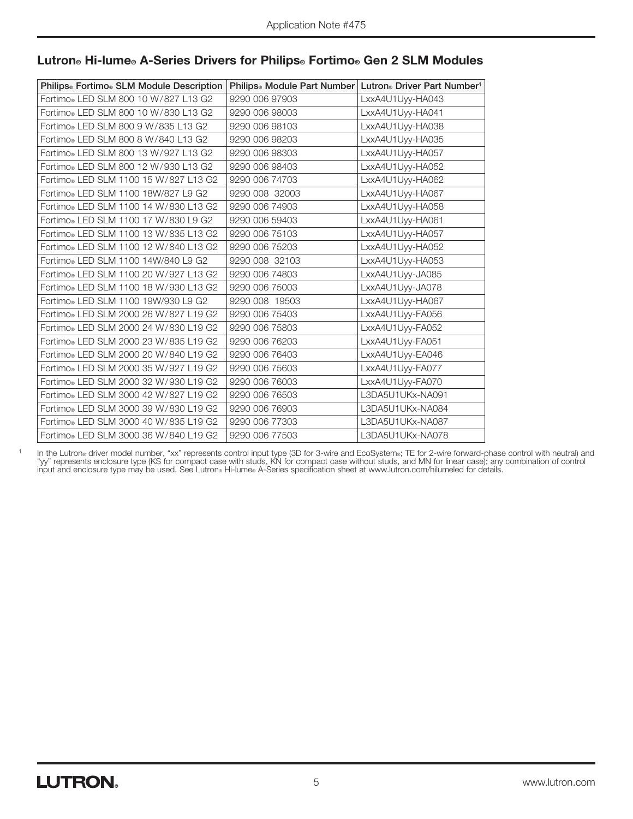| Philips® Fortimo® SLM Module Description | Philips <sup>®</sup> Module Part Number   Lutron® Driver Part Number <sup>1</sup> |                  |
|------------------------------------------|-----------------------------------------------------------------------------------|------------------|
| Fortimo® LED SLM 800 10 W/827 L13 G2     | 9290 006 97903                                                                    | LxxA4U1Uyy-HA043 |
| Fortimo® LED SLM 800 10 W/830 L13 G2     | 9290 006 98003                                                                    | LxxA4U1Uyy-HA041 |
| Fortimo® LED SLM 800 9 W/835 L13 G2      | 9290 006 98103                                                                    | LxxA4U1Uyy-HA038 |
| Fortimo® LED SLM 800 8 W/840 L13 G2      | 9290 006 98203                                                                    | LxxA4U1Uyy-HA035 |
| Fortimo® LED SLM 800 13 W/927 L13 G2     | 9290 006 98303                                                                    | LxxA4U1Uyy-HA057 |
| Fortimo® LED SLM 800 12 W/930 L13 G2     | 9290 006 98403                                                                    | LxxA4U1Uyy-HA052 |
| Fortimo® LED SLM 1100 15 W/827 L13 G2    | 9290 006 74703                                                                    | LxxA4U1Uyy-HA062 |
| Fortimo® LED SLM 1100 18W/827 L9 G2      | 9290 008 32003                                                                    | LxxA4U1Uyy-HA067 |
| Fortimo® LED SLM 1100 14 W/830 L13 G2    | 9290 006 74903                                                                    | LxxA4U1Uyy-HA058 |
| Fortimo® LED SLM 1100 17 W/830 L9 G2     | 9290 006 59403                                                                    | LxxA4U1Uyy-HA061 |
| Fortimo® LED SLM 1100 13 W/835 L13 G2    | 9290 006 75103                                                                    | LxxA4U1Uyy-HA057 |
| Fortimo® LED SLM 1100 12 W/840 L13 G2    | 9290 006 75203                                                                    | LxxA4U1Uyy-HA052 |
| Fortimo® LED SLM 1100 14W/840 L9 G2      | 9290 008 32103                                                                    | LxxA4U1Uyy-HA053 |
| Fortimo® LED SLM 1100 20 W/927 L13 G2    | 9290 006 74803                                                                    | LxxA4U1Uyy-JA085 |
| Fortimo® LED SLM 1100 18 W/930 L13 G2    | 9290 006 75003                                                                    | LxxA4U1Uyy-JA078 |
| Fortimo® LED SLM 1100 19W/930 L9 G2      | 9290 008 19503                                                                    | LxxA4U1Uyy-HA067 |
| Fortimo® LED SLM 2000 26 W/827 L19 G2    | 9290 006 75403                                                                    | LxxA4U1Uyy-FA056 |
| Fortimo® LED SLM 2000 24 W/830 L19 G2    | 9290 006 75803                                                                    | LxxA4U1Uyy-FA052 |
| Fortimo® LED SLM 2000 23 W/835 L19 G2    | 9290 006 76203                                                                    | LxxA4U1Uyy-FA051 |
| Fortimo® LED SLM 2000 20 W/840 L19 G2    | 9290 006 76403                                                                    | LxxA4U1Uyy-EA046 |
| Fortimo® LED SLM 2000 35 W/927 L19 G2    | 9290 006 75603                                                                    | LxxA4U1Uyy-FA077 |
| Fortimo® LED SLM 2000 32 W/930 L19 G2    | 9290 006 76003                                                                    | LxxA4U1Uyy-FA070 |
| Fortimo® LED SLM 3000 42 W/827 L19 G2    | 9290 006 76503                                                                    | L3DA5U1UKx-NA091 |
| Fortimo® LED SLM 3000 39 W/830 L19 G2    | 9290 006 76903                                                                    | L3DA5U1UKx-NA084 |
| Fortimo® LED SLM 3000 40 W/835 L19 G2    | 9290 006 77303                                                                    | L3DA5U1UKx-NA087 |
| Fortimo® LED SLM 3000 36 W/840 L19 G2    | 9290 006 77503                                                                    | L3DA5U1UKx-NA078 |

#### Lutron® Hi-lume® A-Series Drivers for Philips® Fortimo® Gen 2 SLM Modules

<sup>1</sup> In the Lutron® driver model number, "xx" represents control input type (3D for 3-wire and EcoSystem®; TE for 2-wire forward-phase control with neutral) and "yy" represents enclosure type (KS for compact case with studs, KN for compact case without studs, and MN for linear case); any combination of control input and enclosure type may be used. See Lutron® Hi-lume® A-Series specification sheet at www.lutron.com/hilumeled for details.